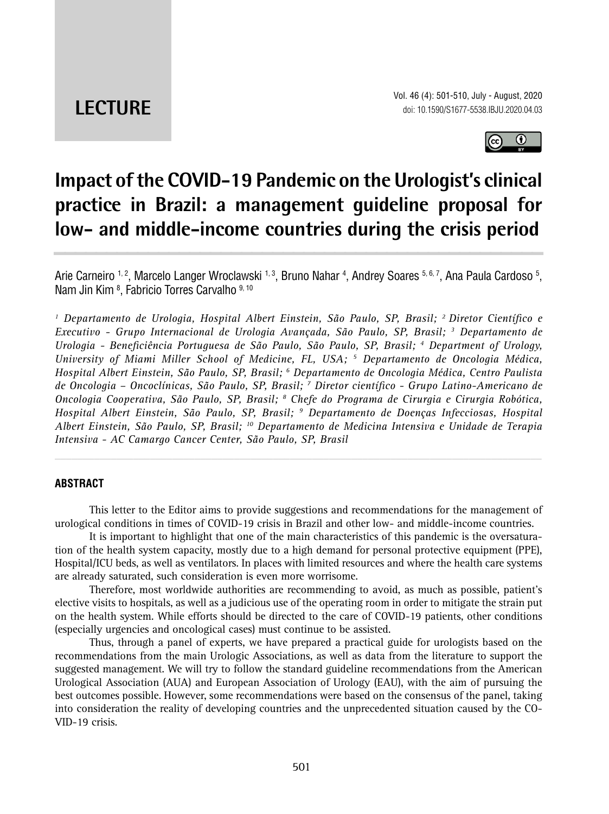**LECTURE**



# **Impact of the COVID-19 Pandemic on the Urologist's clinical practice in Brazil: a management guideline proposal for low- and middle-income countries during the crisis period \_\_\_\_\_\_\_\_\_\_\_\_\_\_\_\_\_\_\_\_\_\_\_\_\_\_\_\_\_\_\_\_\_\_\_\_\_\_\_\_\_\_\_\_\_\_\_**

Arie Carneiro <sup>1, 2</sup>, Marcelo Langer Wroclawski <sup>1, 3</sup>, Bruno Nahar <sup>4</sup>, Andrey Soares <sup>5, 6, 7</sup>, Ana Paula Cardoso <sup>5</sup>, Nam Jin Kim 8 , Fabricio Torres Carvalho 9, 10

<sup>1</sup> Departamento de Urologia, Hospital Albert Einstein, São Paulo, SP, Brasil; <sup>2</sup> Diretor Científico e *Executivo - Grupo Internacional de Urologia Avançada, São Paulo, SP, Brasil; 3 Departamento de Urologia - Beneficiência Portuguesa de São Paulo, São Paulo, SP, Brasil; 4 Department of Urology, University of Miami Miller School of Medicine, FL, USA; 5 Departamento de Oncologia Médica, Hospital Albert Einstein, São Paulo, SP, Brasil; 6 Departamento de Oncologia Médica, Centro Paulista de Oncologia – Oncoclínicas, São Paulo, SP, Brasil; 7 Diretor científico - Grupo Latino-Americano de Oncologia Cooperativa, São Paulo, SP, Brasil; 8 Chefe do Programa de Cirurgia e Cirurgia Robótica, Hospital Albert Einstein, São Paulo, SP, Brasil; 9 Departamento de Doenças Infecciosas, Hospital Albert Einstein, São Paulo, SP, Brasil; 10 Departamento de Medicina Intensiva e Unidade de Terapia Intensiva - AC Camargo Cancer Center, São Paulo, SP, Brasil*

## **ABSTRACT**

This letter to the Editor aims to provide suggestions and recommendations for the management of urological conditions in times of COVID-19 crisis in Brazil and other low- and middle-income countries.

*\_\_\_\_\_\_\_\_\_\_\_\_\_\_\_\_\_\_\_\_\_\_\_\_\_\_\_\_\_\_\_\_\_\_\_\_\_\_\_\_\_\_\_\_\_\_\_\_\_\_\_\_\_\_\_\_\_\_\_\_\_\_\_\_\_\_\_\_\_\_\_\_\_\_\_\_\_\_\_\_\_\_\_\_\_\_\_*

It is important to highlight that one of the main characteristics of this pandemic is the oversaturation of the health system capacity, mostly due to a high demand for personal protective equipment (PPE), Hospital/ICU beds, as well as ventilators. In places with limited resources and where the health care systems are already saturated, such consideration is even more worrisome.

Therefore, most worldwide authorities are recommending to avoid, as much as possible, patient's elective visits to hospitals, as well as a judicious use of the operating room in order to mitigate the strain put on the health system. While efforts should be directed to the care of COVID-19 patients, other conditions (especially urgencies and oncological cases) must continue to be assisted.

Thus, through a panel of experts, we have prepared a practical guide for urologists based on the recommendations from the main Urologic Associations, as well as data from the literature to support the suggested management. We will try to follow the standard guideline recommendations from the American Urological Association (AUA) and European Association of Urology (EAU), with the aim of pursuing the best outcomes possible. However, some recommendations were based on the consensus of the panel, taking into consideration the reality of developing countries and the unprecedented situation caused by the CO-VID-19 crisis.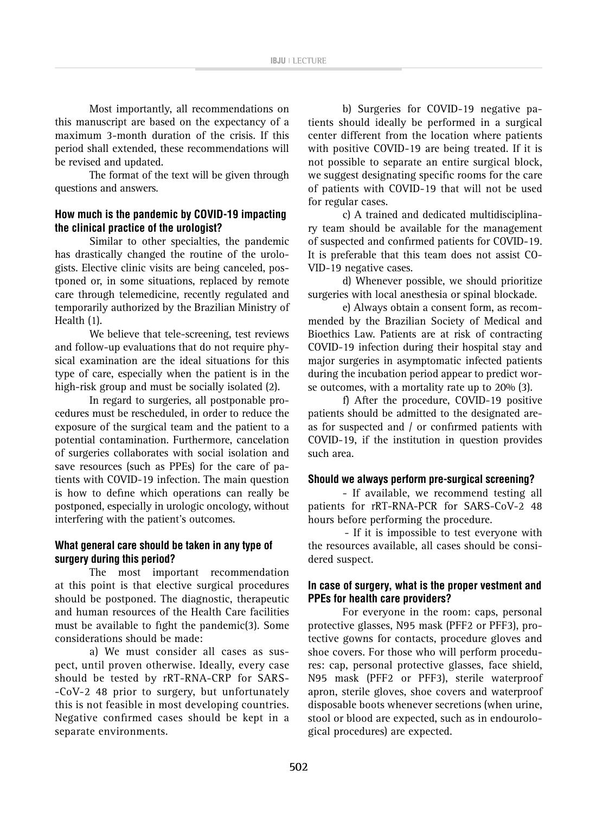Most importantly, all recommendations on this manuscript are based on the expectancy of a maximum 3-month duration of the crisis. If this period shall extended, these recommendations will be revised and updated.

The format of the text will be given through questions and answers.

# **How much is the pandemic by COVID-19 impacting the clinical practice of the urologist?**

Similar to other specialties, the pandemic has drastically changed the routine of the urologists. Elective clinic visits are being canceled, postponed or, in some situations, replaced by remote care through telemedicine, recently regulated and temporarily authorized by the Brazilian Ministry of Health (1).

We believe that tele-screening, test reviews and follow-up evaluations that do not require physical examination are the ideal situations for this type of care, especially when the patient is in the high-risk group and must be socially isolated (2).

In regard to surgeries, all postponable procedures must be rescheduled, in order to reduce the exposure of the surgical team and the patient to a potential contamination. Furthermore, cancelation of surgeries collaborates with social isolation and save resources (such as PPEs) for the care of patients with COVID-19 infection. The main question is how to define which operations can really be postponed, especially in urologic oncology, without interfering with the patient's outcomes.

## **What general care should be taken in any type of surgery during this period?**

The most important recommendation at this point is that elective surgical procedures should be postponed. The diagnostic, therapeutic and human resources of the Health Care facilities must be available to fight the pandemic(3). Some considerations should be made:

a) We must consider all cases as suspect, until proven otherwise. Ideally, every case should be tested by rRT-RNA-CRP for SARS- -CoV-2 48 prior to surgery, but unfortunately this is not feasible in most developing countries. Negative confirmed cases should be kept in a separate environments.

b) Surgeries for COVID-19 negative patients should ideally be performed in a surgical center different from the location where patients with positive COVID-19 are being treated. If it is not possible to separate an entire surgical block, we suggest designating specific rooms for the care of patients with COVID-19 that will not be used for regular cases.

c) A trained and dedicated multidisciplinary team should be available for the management of suspected and confirmed patients for COVID-19. It is preferable that this team does not assist CO-VID-19 negative cases.

d) Whenever possible, we should prioritize surgeries with local anesthesia or spinal blockade.

e) Always obtain a consent form, as recommended by the Brazilian Society of Medical and Bioethics Law. Patients are at risk of contracting COVID-19 infection during their hospital stay and major surgeries in asymptomatic infected patients during the incubation period appear to predict worse outcomes, with a mortality rate up to 20% (3).

f) After the procedure, COVID-19 positive patients should be admitted to the designated areas for suspected and / or confirmed patients with COVID-19, if the institution in question provides such area.

## **Should we always perform pre-surgical screening?**

- If available, we recommend testing all patients for rRT-RNA-PCR for SARS-CoV-2 48 hours before performing the procedure.

- If it is impossible to test everyone with the resources available, all cases should be considered suspect.

# **In case of surgery, what is the proper vestment and PPEs for health care providers?**

For everyone in the room: caps, personal protective glasses, N95 mask (PFF2 or PFF3), protective gowns for contacts, procedure gloves and shoe covers. For those who will perform procedures: cap, personal protective glasses, face shield, N95 mask (PFF2 or PFF3), sterile waterproof apron, sterile gloves, shoe covers and waterproof disposable boots whenever secretions (when urine, stool or blood are expected, such as in endourological procedures) are expected.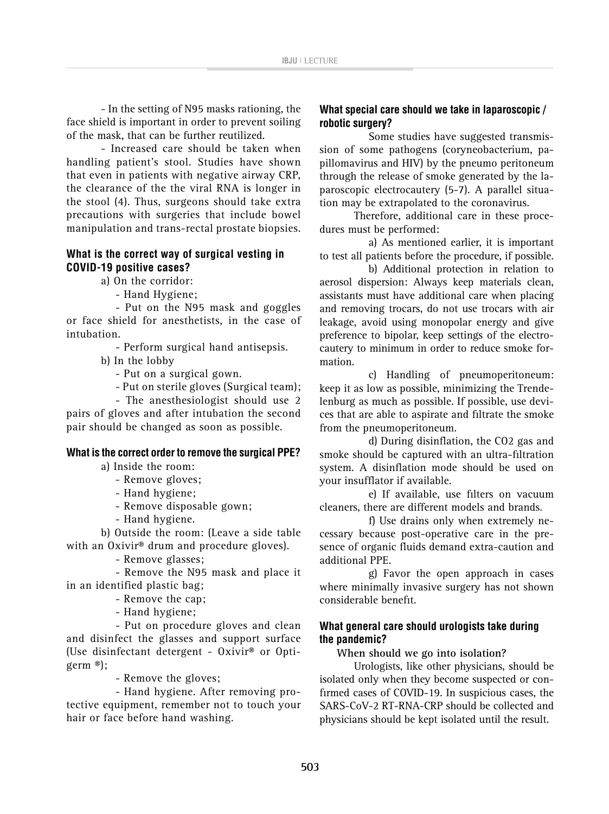- In the setting of N95 masks rationing, the face shield is important in order to prevent soiling of the mask, that can be further reutilized.

- Increased care should be taken when handling patient's stool. Studies have shown that even in patients with negative airway CRP, the clearance of the the viral RNA is longer in the stool (4). Thus, surgeons should take extra precautions with surgeries that include bowel manipulation and trans-rectal prostate biopsies.

# **What is the correct way of surgical vesting in COVID-19 positive cases?**

a) On the corridor:

- Hand Hygiene;

- Put on the N95 mask and goggles or face shield for anesthetists, in the case of intubation.

- Perform surgical hand antisepsis.

b) In the lobby

- Put on a surgical gown.

- Put on sterile gloves (Surgical team);

- The anesthesiologist should use 2 pairs of gloves and after intubation the second pair should be changed as soon as possible.

## **What is the correct order to remove the surgical PPE?**

a) Inside the room:

- Remove gloves;
- Hand hygiene;
- Remove disposable gown;
- Hand hygiene.

b) Outside the room: (Leave a side table with an Oxivir® drum and procedure gloves).

- Remove glasses;

- Remove the N95 mask and place it in an identified plastic bag;

- Remove the cap;

- Hand hygiene;

- Put on procedure gloves and clean and disinfect the glasses and support surface (Use disinfectant detergent - Oxivir® or Optigerm ®);

- Remove the gloves;

- Hand hygiene. After removing protective equipment, remember not to touch your hair or face before hand washing.

# **What special care should we take in laparoscopic / robotic surgery?**

Some studies have suggested transmission of some pathogens (coryneobacterium, papillomavirus and HIV) by the pneumo peritoneum through the release of smoke generated by the laparoscopic electrocautery (5-7). A parallel situation may be extrapolated to the coronavirus.

Therefore, additional care in these procedures must be performed:

a) As mentioned earlier, it is important to test all patients before the procedure, if possible.

b) Additional protection in relation to aerosol dispersion: Always keep materials clean, assistants must have additional care when placing and removing trocars, do not use trocars with air leakage, avoid using monopolar energy and give preference to bipolar, keep settings of the electrocautery to minimum in order to reduce smoke formation.

c) Handling of pneumoperitoneum: keep it as low as possible, minimizing the Trendelenburg as much as possible. If possible, use devices that are able to aspirate and filtrate the smoke from the pneumoperitoneum.

d) During disinflation, the CO2 gas and smoke should be captured with an ultra-filtration system. A disinflation mode should be used on your insufflator if available.

e) If available, use filters on vacuum cleaners, there are different models and brands.

f) Use drains only when extremely necessary because post-operative care in the presence of organic fluids demand extra-caution and additional PPE.

g) Favor the open approach in cases where minimally invasive surgery has not shown considerable benefit.

# **What general care should urologists take during the pandemic?**

**When should we go into isolation?**

Urologists, like other physicians, should be isolated only when they become suspected or confirmed cases of COVID-19. In suspicious cases, the SARS-CoV-2 RT-RNA-CRP should be collected and physicians should be kept isolated until the result.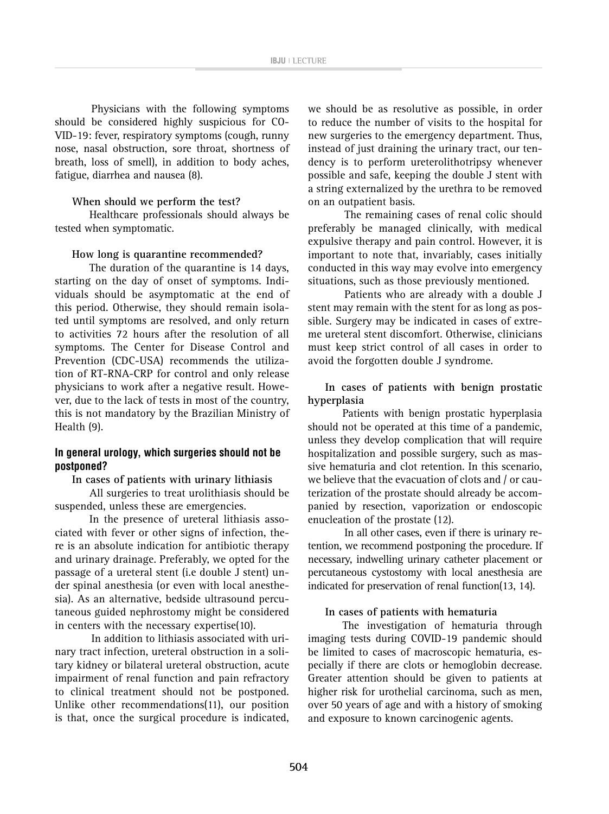Physicians with the following symptoms should be considered highly suspicious for CO-VID-19: fever, respiratory symptoms (cough, runny nose, nasal obstruction, sore throat, shortness of breath, loss of smell), in addition to body aches, fatigue, diarrhea and nausea (8).

## **When should we perform the test?**

Healthcare professionals should always be tested when symptomatic.

#### **How long is quarantine recommended?**

The duration of the quarantine is 14 days, starting on the day of onset of symptoms. Individuals should be asymptomatic at the end of this period. Otherwise, they should remain isolated until symptoms are resolved, and only return to activities 72 hours after the resolution of all symptoms. The Center for Disease Control and Prevention (CDC-USA) recommends the utilization of RT-RNA-CRP for control and only release physicians to work after a negative result. However, due to the lack of tests in most of the country, this is not mandatory by the Brazilian Ministry of Health (9).

## **In general urology, which surgeries should not be postponed?**

#### **In cases of patients with urinary lithiasis**

All surgeries to treat urolithiasis should be suspended, unless these are emergencies.

In the presence of ureteral lithiasis associated with fever or other signs of infection, there is an absolute indication for antibiotic therapy and urinary drainage. Preferably, we opted for the passage of a ureteral stent (i.e double J stent) under spinal anesthesia (or even with local anesthesia). As an alternative, bedside ultrasound percutaneous guided nephrostomy might be considered in centers with the necessary expertise(10).

In addition to lithiasis associated with urinary tract infection, ureteral obstruction in a solitary kidney or bilateral ureteral obstruction, acute impairment of renal function and pain refractory to clinical treatment should not be postponed. Unlike other recommendations(11), our position is that, once the surgical procedure is indicated, we should be as resolutive as possible, in order to reduce the number of visits to the hospital for new surgeries to the emergency department. Thus, instead of just draining the urinary tract, our tendency is to perform ureterolithotripsy whenever possible and safe, keeping the double J stent with a string externalized by the urethra to be removed on an outpatient basis.

The remaining cases of renal colic should preferably be managed clinically, with medical expulsive therapy and pain control. However, it is important to note that, invariably, cases initially conducted in this way may evolve into emergency situations, such as those previously mentioned.

Patients who are already with a double J stent may remain with the stent for as long as possible. Surgery may be indicated in cases of extreme ureteral stent discomfort. Otherwise, clinicians must keep strict control of all cases in order to avoid the forgotten double J syndrome.

## **In cases of patients with benign prostatic hyperplasia**

Patients with benign prostatic hyperplasia should not be operated at this time of a pandemic, unless they develop complication that will require hospitalization and possible surgery, such as massive hematuria and clot retention. In this scenario, we believe that the evacuation of clots and / or cauterization of the prostate should already be accompanied by resection, vaporization or endoscopic enucleation of the prostate (12).

In all other cases, even if there is urinary retention, we recommend postponing the procedure. If necessary, indwelling urinary catheter placement or percutaneous cystostomy with local anesthesia are indicated for preservation of renal function(13, 14).

## **In cases of patients with hematuria**

The investigation of hematuria through imaging tests during COVID-19 pandemic should be limited to cases of macroscopic hematuria, especially if there are clots or hemoglobin decrease. Greater attention should be given to patients at higher risk for urothelial carcinoma, such as men, over 50 years of age and with a history of smoking and exposure to known carcinogenic agents.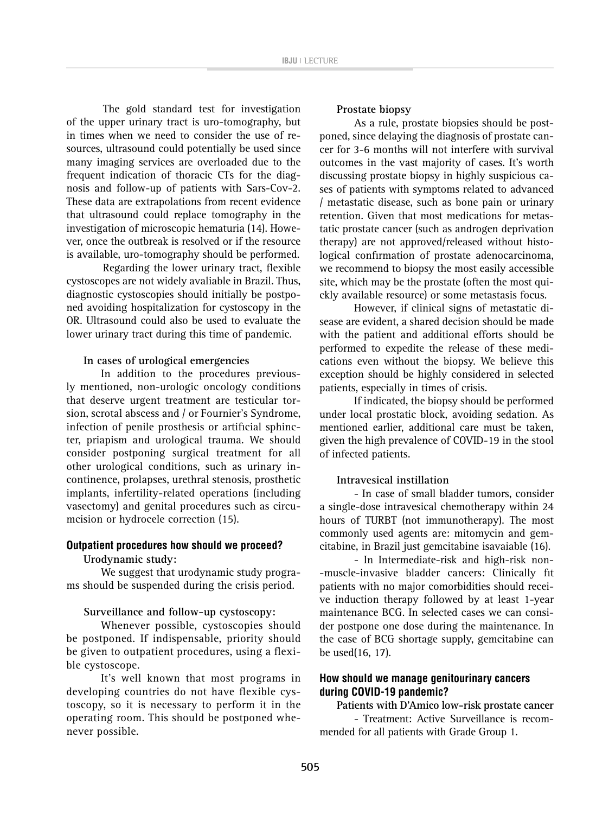The gold standard test for investigation of the upper urinary tract is uro-tomography, but in times when we need to consider the use of resources, ultrasound could potentially be used since many imaging services are overloaded due to the frequent indication of thoracic CTs for the diagnosis and follow-up of patients with Sars-Cov-2. These data are extrapolations from recent evidence that ultrasound could replace tomography in the investigation of microscopic hematuria (14). However, once the outbreak is resolved or if the resource is available, uro-tomography should be performed.

Regarding the lower urinary tract, flexible cystoscopes are not widely avaliable in Brazil. Thus, diagnostic cystoscopies should initially be postponed avoiding hospitalization for cystoscopy in the OR. Ultrasound could also be used to evaluate the lower urinary tract during this time of pandemic.

#### **In cases of urological emergencies**

In addition to the procedures previously mentioned, non-urologic oncology conditions that deserve urgent treatment are testicular torsion, scrotal abscess and / or Fournier's Syndrome, infection of penile prosthesis or artificial sphincter, priapism and urological trauma. We should consider postponing surgical treatment for all other urological conditions, such as urinary incontinence, prolapses, urethral stenosis, prosthetic implants, infertility-related operations (including vasectomy) and genital procedures such as circumcision or hydrocele correction (15).

## **Outpatient procedures how should we proceed? Urodynamic study:**

We suggest that urodynamic study programs should be suspended during the crisis period.

#### **Surveillance and follow-up cystoscopy:**

Whenever possible, cystoscopies should be postponed. If indispensable, priority should be given to outpatient procedures, using a flexible cystoscope.

It's well known that most programs in developing countries do not have flexible cystoscopy, so it is necessary to perform it in the operating room. This should be postponed whenever possible.

#### **Prostate biopsy**

As a rule, prostate biopsies should be postponed, since delaying the diagnosis of prostate cancer for 3-6 months will not interfere with survival outcomes in the vast majority of cases. It's worth discussing prostate biopsy in highly suspicious cases of patients with symptoms related to advanced / metastatic disease, such as bone pain or urinary retention. Given that most medications for metastatic prostate cancer (such as androgen deprivation therapy) are not approved/released without histological confirmation of prostate adenocarcinoma, we recommend to biopsy the most easily accessible site, which may be the prostate (often the most quickly available resource) or some metastasis focus.

However, if clinical signs of metastatic disease are evident, a shared decision should be made with the patient and additional efforts should be performed to expedite the release of these medications even without the biopsy. We believe this exception should be highly considered in selected patients, especially in times of crisis.

If indicated, the biopsy should be performed under local prostatic block, avoiding sedation. As mentioned earlier, additional care must be taken, given the high prevalence of COVID-19 in the stool of infected patients.

#### **Intravesical instillation**

- In case of small bladder tumors, consider a single-dose intravesical chemotherapy within 24 hours of TURBT (not immunotherapy). The most commonly used agents are: mitomycin and gemcitabine, in Brazil just gemcitabine isavaiable (16).

- In Intermediate-risk and high-risk non- -muscle-invasive bladder cancers: Clinically fit patients with no major comorbidities should receive induction therapy followed by at least 1-year maintenance BCG. In selected cases we can consider postpone one dose during the maintenance. In the case of BCG shortage supply, gemcitabine can be used(16, 17).

## **How should we manage genitourinary cancers during COVID-19 pandemic?**

**Patients with D'Amico low-risk prostate cancer**

- Treatment: Active Surveillance is recommended for all patients with Grade Group 1.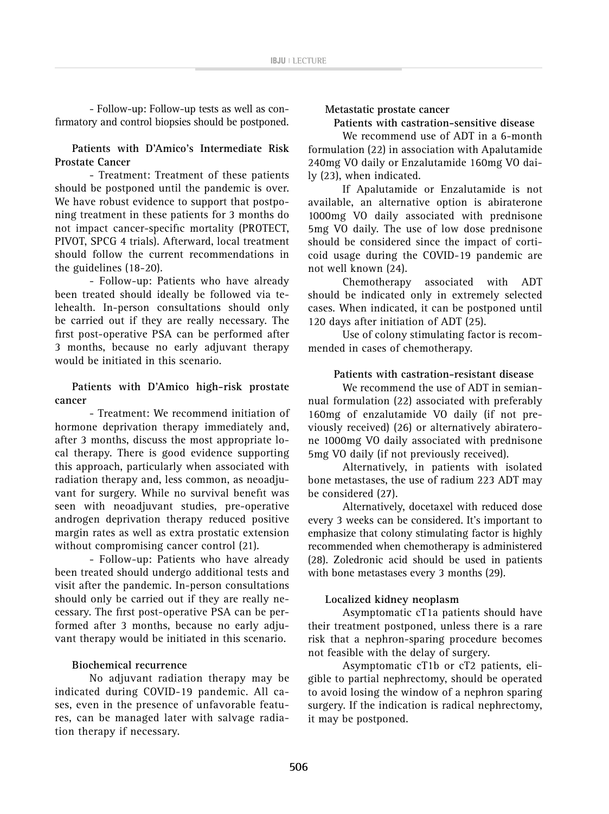- Follow-up: Follow-up tests as well as confirmatory and control biopsies should be postponed.

## **Patients with D'Amico's Intermediate Risk Prostate Cancer**

- Treatment: Treatment of these patients should be postponed until the pandemic is over. We have robust evidence to support that postponing treatment in these patients for 3 months do not impact cancer-specific mortality (PROTECT, PIVOT, SPCG 4 trials). Afterward, local treatment should follow the current recommendations in the guidelines (18-20).

- Follow-up: Patients who have already been treated should ideally be followed via telehealth. In-person consultations should only be carried out if they are really necessary. The first post-operative PSA can be performed after 3 months, because no early adjuvant therapy would be initiated in this scenario.

## **Patients with D'Amico high-risk prostate cancer**

- Treatment: We recommend initiation of hormone deprivation therapy immediately and, after 3 months, discuss the most appropriate local therapy. There is good evidence supporting this approach, particularly when associated with radiation therapy and, less common, as neoadjuvant for surgery. While no survival benefit was seen with neoadjuvant studies, pre-operative androgen deprivation therapy reduced positive margin rates as well as extra prostatic extension without compromising cancer control (21).

- Follow-up: Patients who have already been treated should undergo additional tests and visit after the pandemic. In-person consultations should only be carried out if they are really necessary. The first post-operative PSA can be performed after 3 months, because no early adjuvant therapy would be initiated in this scenario.

## **Biochemical recurrence**

No adjuvant radiation therapy may be indicated during COVID-19 pandemic. All cases, even in the presence of unfavorable features, can be managed later with salvage radiation therapy if necessary.

**Metastatic prostate cancer**

**Patients with castration-sensitive disease**

We recommend use of ADT in a 6-month formulation (22) in association with Apalutamide 240mg VO daily or Enzalutamide 160mg VO daily (23), when indicated.

If Apalutamide or Enzalutamide is not available, an alternative option is abiraterone 1000mg VO daily associated with prednisone 5mg VO daily. The use of low dose prednisone should be considered since the impact of corticoid usage during the COVID-19 pandemic are not well known (24).

Chemotherapy associated with ADT should be indicated only in extremely selected cases. When indicated, it can be postponed until 120 days after initiation of ADT (25).

Use of colony stimulating factor is recommended in cases of chemotherapy.

## **Patients with castration-resistant disease**

We recommend the use of ADT in semiannual formulation (22) associated with preferably 160mg of enzalutamide VO daily (if not previously received) (26) or alternatively abiraterone 1000mg VO daily associated with prednisone 5mg VO daily (if not previously received).

Alternatively, in patients with isolated bone metastases, the use of radium 223 ADT may be considered (27).

Alternatively, docetaxel with reduced dose every 3 weeks can be considered. It's important to emphasize that colony stimulating factor is highly recommended when chemotherapy is administered (28). Zoledronic acid should be used in patients with bone metastases every 3 months (29).

## **Localized kidney neoplasm**

Asymptomatic cT1a patients should have their treatment postponed, unless there is a rare risk that a nephron-sparing procedure becomes not feasible with the delay of surgery.

Asymptomatic cT1b or cT2 patients, eligible to partial nephrectomy, should be operated to avoid losing the window of a nephron sparing surgery. If the indication is radical nephrectomy, it may be postponed.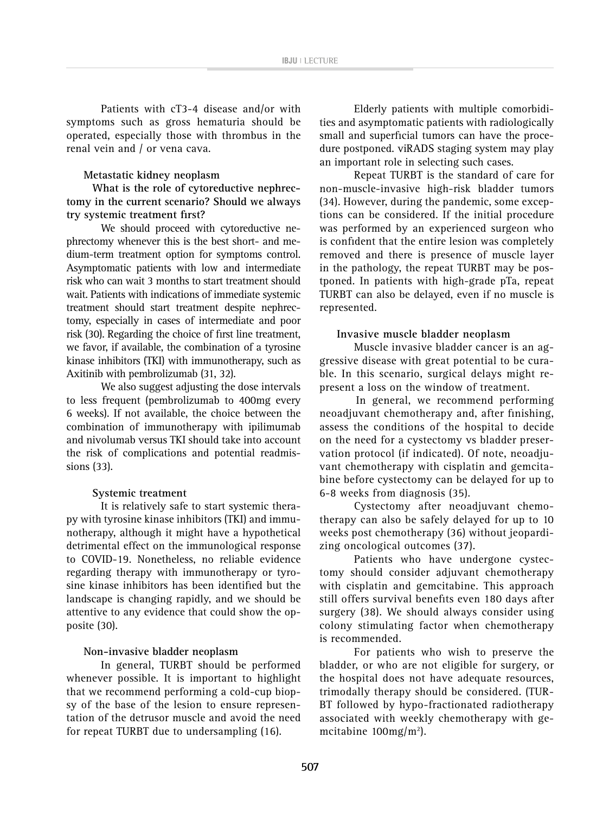Patients with cT3-4 disease and/or with symptoms such as gross hematuria should be operated, especially those with thrombus in the renal vein and / or vena cava.

#### **Metastatic kidney neoplasm**

**What is the role of cytoreductive nephrectomy in the current scenario? Should we always try systemic treatment first?**

We should proceed with cytoreductive nephrectomy whenever this is the best short- and medium-term treatment option for symptoms control. Asymptomatic patients with low and intermediate risk who can wait 3 months to start treatment should wait. Patients with indications of immediate systemic treatment should start treatment despite nephrectomy, especially in cases of intermediate and poor risk (30). Regarding the choice of first line treatment, we favor, if available, the combination of a tyrosine kinase inhibitors (TKI) with immunotherapy, such as Axitinib with pembrolizumab (31, 32).

We also suggest adjusting the dose intervals to less frequent (pembrolizumab to 400mg every 6 weeks). If not available, the choice between the combination of immunotherapy with ipilimumab and nivolumab versus TKI should take into account the risk of complications and potential readmissions (33).

#### **Systemic treatment**

It is relatively safe to start systemic therapy with tyrosine kinase inhibitors (TKI) and immunotherapy, although it might have a hypothetical detrimental effect on the immunological response to COVID-19. Nonetheless, no reliable evidence regarding therapy with immunotherapy or tyrosine kinase inhibitors has been identified but the landscape is changing rapidly, and we should be attentive to any evidence that could show the opposite (30).

#### **Non-invasive bladder neoplasm**

In general, TURBT should be performed whenever possible. It is important to highlight that we recommend performing a cold-cup biopsy of the base of the lesion to ensure representation of the detrusor muscle and avoid the need for repeat TURBT due to undersampling (16).

Elderly patients with multiple comorbidities and asymptomatic patients with radiologically small and superficial tumors can have the procedure postponed. viRADS staging system may play an important role in selecting such cases.

Repeat TURBT is the standard of care for non-muscle-invasive high-risk bladder tumors (34). However, during the pandemic, some exceptions can be considered. If the initial procedure was performed by an experienced surgeon who is confident that the entire lesion was completely removed and there is presence of muscle layer in the pathology, the repeat TURBT may be postponed. In patients with high-grade pTa, repeat TURBT can also be delayed, even if no muscle is represented.

#### **Invasive muscle bladder neoplasm**

Muscle invasive bladder cancer is an aggressive disease with great potential to be curable. In this scenario, surgical delays might represent a loss on the window of treatment.

In general, we recommend performing neoadjuvant chemotherapy and, after finishing, assess the conditions of the hospital to decide on the need for a cystectomy vs bladder preservation protocol (if indicated). Of note, neoadjuvant chemotherapy with cisplatin and gemcitabine before cystectomy can be delayed for up to 6-8 weeks from diagnosis (35).

Cystectomy after neoadjuvant chemotherapy can also be safely delayed for up to 10 weeks post chemotherapy (36) without jeopardizing oncological outcomes (37).

Patients who have undergone cystectomy should consider adjuvant chemotherapy with cisplatin and gemcitabine. This approach still offers survival benefits even 180 days after surgery (38). We should always consider using colony stimulating factor when chemotherapy is recommended.

For patients who wish to preserve the bladder, or who are not eligible for surgery, or the hospital does not have adequate resources, trimodally therapy should be considered. (TUR-BT followed by hypo-fractionated radiotherapy associated with weekly chemotherapy with gemcitabine 100mg/m<sup>2</sup>).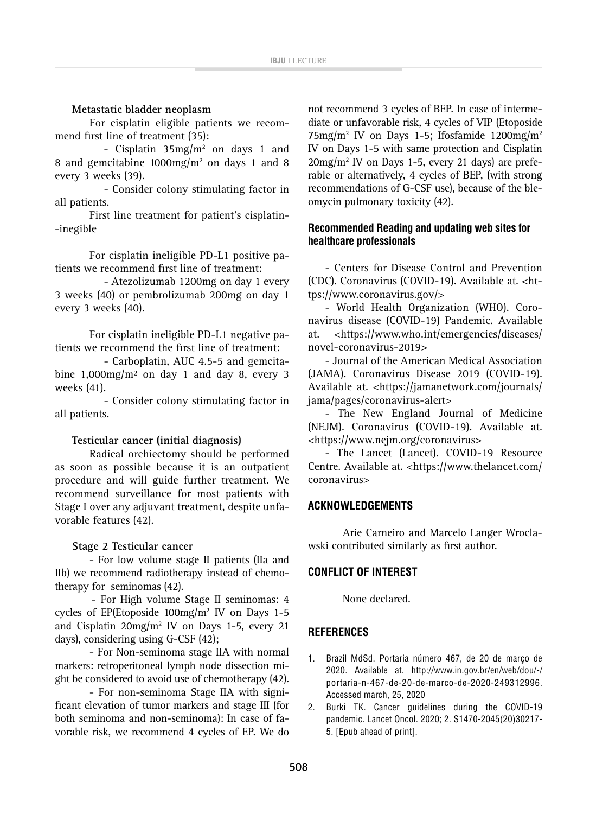## **Metastatic bladder neoplasm**

For cisplatin eligible patients we recommend first line of treatment (35):

- Cisplatin  $35 \text{mg/m}^2$  on days 1 and 8 and gemcitabine 1000mg/m2 on days 1 and 8 every 3 weeks (39).

- Consider colony stimulating factor in all patients.

First line treatment for patient's cisplatin- -inegible

For cisplatin ineligible PD-L1 positive patients we recommend first line of treatment:

- Atezolizumab 1200mg on day 1 every 3 weeks (40) or pembrolizumab 200mg on day 1 every 3 weeks (40).

For cisplatin ineligible PD-L1 negative patients we recommend the first line of treatment:

- Carboplatin, AUC 4.5-5 and gemcitabine  $1,000$ mg/m<sup>2</sup> on day 1 and day 8, every 3 weeks (41).

- Consider colony stimulating factor in all patients.

#### **Testicular cancer (initial diagnosis)**

Radical orchiectomy should be performed as soon as possible because it is an outpatient procedure and will guide further treatment. We recommend surveillance for most patients with Stage I over any adjuvant treatment, despite unfavorable features (42).

#### **Stage 2 Testicular cancer**

- For low volume stage II patients (IIa and IIb) we recommend radiotherapy instead of chemotherapy for seminomas (42).

- For High volume Stage II seminomas: 4 cycles of EP(Etoposide  $100 \text{mg/m}^2$  IV on Days 1-5 and Cisplatin  $20 \text{mg/m}^2$  IV on Days 1-5, every 21 days), considering using G-CSF (42);

- For Non-seminoma stage IIA with normal markers: retroperitoneal lymph node dissection might be considered to avoid use of chemotherapy (42).

- For non-seminoma Stage IIA with significant elevation of tumor markers and stage III (for both seminoma and non-seminoma): In case of favorable risk, we recommend 4 cycles of EP. We do

not recommend 3 cycles of BEP. In case of intermediate or unfavorable risk, 4 cycles of VIP (Etoposide  $75 \text{mg/m}^2$  IV on Days 1-5; Ifosfamide 1200mg/m<sup>2</sup> IV on Days 1-5 with same protection and Cisplatin 20mg/m2 IV on Days 1-5, every 21 days) are preferable or alternatively, 4 cycles of BEP, (with strong recommendations of G-CSF use), because of the bleomycin pulmonary toxicity (42).

# **Recommended Reading and updating web sites for healthcare professionals**

- Centers for Disease Control and Prevention (CDC). Coronavirus (COVID-19). Available at. [<ht](https://www.coronavirus.gov/)[tps://www.coronavirus.gov/](https://www.coronavirus.gov/)>

- World Health Organization (WHO). Coronavirus disease (COVID-19) Pandemic. Available at. <[https://www.who.int/emergencies/diseases/](https://www.who.int/emergencies/diseases/novel-coronavirus-2019) [novel-coronavirus-2019>](https://www.who.int/emergencies/diseases/novel-coronavirus-2019)

- Journal of the American Medical Association (JAMA). Coronavirus Disease 2019 (COVID-19). Available at. <[https://jamanetwork.com/journals/](https://jamanetwork.com/journals/jama/pages/coronavirus-alert) [jama/pages/coronavirus-alert>](https://jamanetwork.com/journals/jama/pages/coronavirus-alert)

- The New England Journal of Medicine (NEJM). Coronavirus (COVID-19). Available at. <<https://www.nejm.org/coronavirus>>

- The Lancet (Lancet). COVID-19 Resource Centre. Available at. <https://www.thelancet.com/ coronavirus>

## **ACKNOWLEDGEMENTS**

Arie Carneiro and Marcelo Langer Wroclawski contributed similarly as first author.

## **CONFLICT OF INTEREST**

None declared.

## **REFERENCES**

- 1. Brazil MdSd. Portaria número 467, de 20 de março de 2020. Available at. [http://www.in.gov.br/en/web/dou/-/](http://www.in.gov.br/en/web/dou/-/portaria-n-467-de-20-de-marco-de-2020-249312996) [portaria-n-467-de-20-de-marco-de-2020-249312996.](http://www.in.gov.br/en/web/dou/-/portaria-n-467-de-20-de-marco-de-2020-249312996) Accessed march, 25, 2020
- 2. Burki TK. Cancer guidelines during the COVID-19 pandemic. Lancet Oncol. 2020; 2. S1470-2045(20)30217- 5. [Epub ahead of print].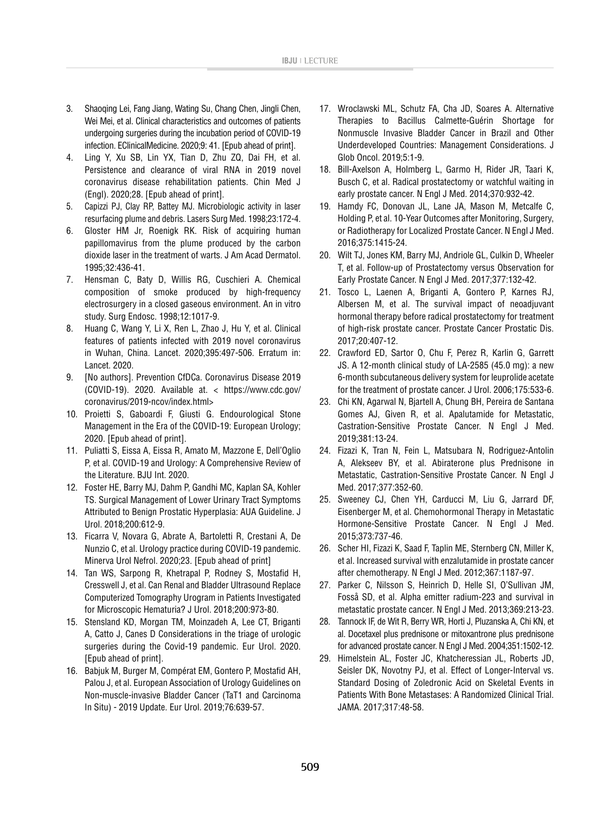- 3. Shaoqing Lei, Fang Jiang, Wating Su, Chang Chen, Jingli Chen, Wei Mei, et al. Clinical characteristics and outcomes of patients undergoing surgeries during the incubation period of COVID-19 infection. EClinicalMedicine. 2020;9: 41. [Epub ahead of print].
- 4. Ling Y, Xu SB, Lin YX, Tian D, Zhu ZQ, Dai FH, et al. Persistence and clearance of viral RNA in 2019 novel coronavirus disease rehabilitation patients. Chin Med J (Engl). 2020;28. [Epub ahead of print].
- 5. Capizzi PJ, Clay RP, Battey MJ. Microbiologic activity in laser resurfacing plume and debris. Lasers Surg Med. 1998;23:172-4.
- 6. Gloster HM Jr, Roenigk RK. Risk of acquiring human papillomavirus from the plume produced by the carbon dioxide laser in the treatment of warts. J Am Acad Dermatol. 1995;32:436-41.
- 7. Hensman C, Baty D, Willis RG, Cuschieri A. Chemical composition of smoke produced by high-frequency electrosurgery in a closed gaseous environment. An in vitro study. Surg Endosc. 1998;12:1017-9.
- 8. Huang C, Wang Y, Li X, Ren L, Zhao J, Hu Y, et al. Clinical features of patients infected with 2019 novel coronavirus in Wuhan, China. Lancet. 2020;395:497-506. Erratum in: Lancet. 2020.
- 9. [No authors]. Prevention CfDCa. Coronavirus Disease 2019 (COVID-19). 2020. Available at. < https://www.cdc.gov/ coronavirus/2019-ncov/index.html>
- 10. Proietti S, Gaboardi F, Giusti G. Endourological Stone Management in the Era of the COVID-19: European Urology; 2020. [Epub ahead of print].
- 11. Puliatti S, Eissa A, Eissa R, Amato M, Mazzone E, Dell'Oglio P, et al. COVID-19 and Urology: A Comprehensive Review of the Literature. BJU Int. 2020.
- 12. Foster HE, Barry MJ, Dahm P, Gandhi MC, Kaplan SA, Kohler TS. Surgical Management of Lower Urinary Tract Symptoms Attributed to Benign Prostatic Hyperplasia: AUA Guideline. J Urol. 2018;200:612-9.
- 13. Ficarra V, Novara G, Abrate A, Bartoletti R, Crestani A, De Nunzio C, et al. Urology practice during COVID-19 pandemic. Minerva Urol Nefrol. 2020;23. [Epub ahead of print]
- 14. Tan WS, Sarpong R, Khetrapal P, Rodney S, Mostafid H, Cresswell J, et al. Can Renal and Bladder Ultrasound Replace Computerized Tomography Urogram in Patients Investigated for Microscopic Hematuria? J Urol. 2018;200:973-80.
- 15. Stensland KD, Morgan TM, Moinzadeh A, Lee CT, Briganti A, Catto J, Canes D Considerations in the triage of urologic surgeries during the Covid-19 pandemic. Eur Urol. 2020. [Epub ahead of print].
- 16. Babjuk M, Burger M, Compérat EM, Gontero P, Mostafid AH, Palou J, et al. European Association of Urology Guidelines on Non-muscle-invasive Bladder Cancer (TaT1 and Carcinoma In Situ) - 2019 Update. Eur Urol. 2019;76:639-57.
- 17. Wroclawski ML, Schutz FA, Cha JD, Soares A. Alternative Therapies to Bacillus Calmette-Guérin Shortage for Nonmuscle Invasive Bladder Cancer in Brazil and Other Underdeveloped Countries: Management Considerations. J Glob Oncol. 2019;5:1-9.
- 18. Bill-Axelson A, Holmberg L, Garmo H, Rider JR, Taari K, Busch C, et al. Radical prostatectomy or watchful waiting in early prostate cancer. N Engl J Med. 2014;370:932-42.
- 19. Hamdy FC, Donovan JL, Lane JA, Mason M, Metcalfe C, Holding P, et al. 10-Year Outcomes after Monitoring, Surgery, or Radiotherapy for Localized Prostate Cancer. N Engl J Med. 2016;375:1415-24.
- 20. Wilt TJ, Jones KM, Barry MJ, Andriole GL, Culkin D, Wheeler T, et al. Follow-up of Prostatectomy versus Observation for Early Prostate Cancer. N Engl J Med. 2017;377:132-42.
- 21. Tosco L, Laenen A, Briganti A, Gontero P, Karnes RJ, Albersen M, et al. The survival impact of neoadjuvant hormonal therapy before radical prostatectomy for treatment of high-risk prostate cancer. Prostate Cancer Prostatic Dis. 2017;20:407-12.
- 22. Crawford ED, Sartor O, Chu F, Perez R, Karlin G, Garrett JS. A 12-month clinical study of LA-2585 (45.0 mg): a new 6-month subcutaneous delivery system for leuprolide acetate for the treatment of prostate cancer. J Urol. 2006;175:533-6.
- 23. Chi KN, Agarwal N, Bjartell A, Chung BH, Pereira de Santana Gomes AJ, Given R, et al. Apalutamide for Metastatic, Castration-Sensitive Prostate Cancer. N Engl J Med. 2019;381:13-24.
- 24. Fizazi K, Tran N, Fein L, Matsubara N, Rodriguez-Antolin A, Alekseev BY, et al. Abiraterone plus Prednisone in Metastatic, Castration-Sensitive Prostate Cancer. N Engl J Med. 2017;377:352-60.
- 25. Sweeney CJ, Chen YH, Carducci M, Liu G, Jarrard DF, Eisenberger M, et al. Chemohormonal Therapy in Metastatic Hormone-Sensitive Prostate Cancer. N Engl J Med. 2015;373:737-46.
- 26. Scher HI, Fizazi K, Saad F, Taplin ME, Sternberg CN, Miller K, et al. Increased survival with enzalutamide in prostate cancer after chemotherapy. N Engl J Med. 2012;367:1187-97.
- 27. Parker C, Nilsson S, Heinrich D, Helle SI, O'Sullivan JM, Fosså SD, et al. Alpha emitter radium-223 and survival in metastatic prostate cancer. N Engl J Med. 2013;369:213-23.
- 28. Tannock IF, de Wit R, Berry WR, Horti J, Pluzanska A, Chi KN, et al. Docetaxel plus prednisone or mitoxantrone plus prednisone for advanced prostate cancer. N Engl J Med. 2004;351:1502-12.
- 29. Himelstein AL, Foster JC, Khatcheressian JL, Roberts JD, Seisler DK, Novotny PJ, et al. Effect of Longer-Interval vs. Standard Dosing of Zoledronic Acid on Skeletal Events in Patients With Bone Metastases: A Randomized Clinical Trial. JAMA. 2017;317:48-58.